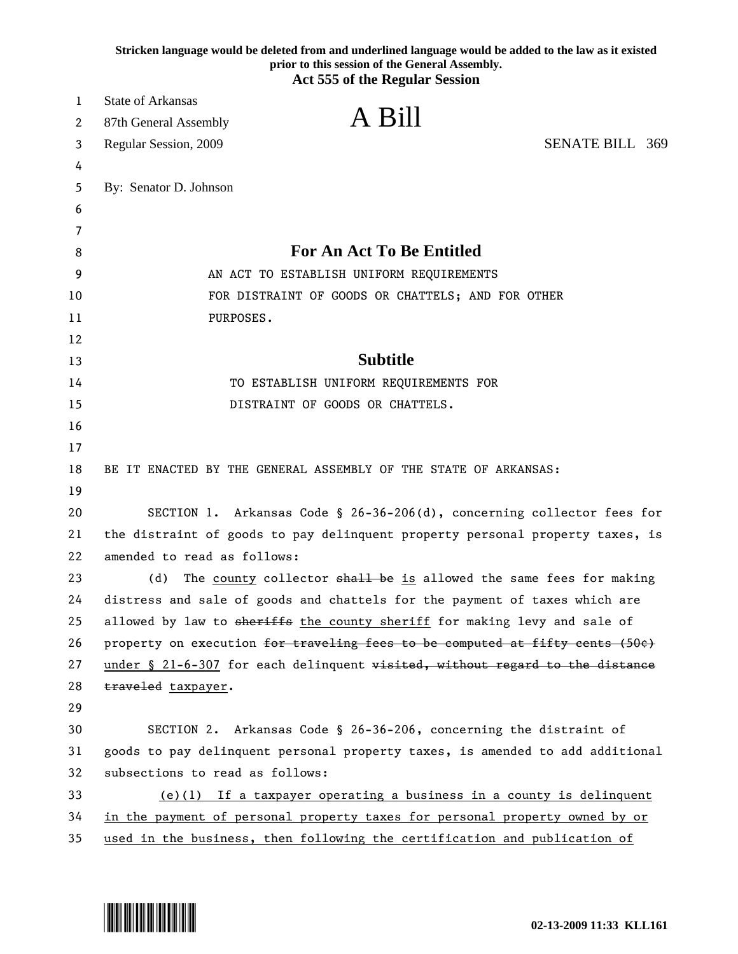|    | Stricken language would be deleted from and underlined language would be added to the law as it existed<br>prior to this session of the General Assembly.<br><b>Act 555 of the Regular Session</b> |
|----|----------------------------------------------------------------------------------------------------------------------------------------------------------------------------------------------------|
| 1  | <b>State of Arkansas</b>                                                                                                                                                                           |
| 2  | A Bill<br>87th General Assembly                                                                                                                                                                    |
| 3  | <b>SENATE BILL 369</b><br>Regular Session, 2009                                                                                                                                                    |
| 4  |                                                                                                                                                                                                    |
| 5  | By: Senator D. Johnson                                                                                                                                                                             |
| 6  |                                                                                                                                                                                                    |
| 7  |                                                                                                                                                                                                    |
| 8  | <b>For An Act To Be Entitled</b>                                                                                                                                                                   |
| 9  | AN ACT TO ESTABLISH UNIFORM REQUIREMENTS                                                                                                                                                           |
| 10 | FOR DISTRAINT OF GOODS OR CHATTELS; AND FOR OTHER                                                                                                                                                  |
| 11 | PURPOSES.                                                                                                                                                                                          |
| 12 |                                                                                                                                                                                                    |
| 13 | <b>Subtitle</b>                                                                                                                                                                                    |
| 14 | TO ESTABLISH UNIFORM REQUIREMENTS FOR                                                                                                                                                              |
| 15 | DISTRAINT OF GOODS OR CHATTELS.                                                                                                                                                                    |
| 16 |                                                                                                                                                                                                    |
| 17 |                                                                                                                                                                                                    |
| 18 | BE IT ENACTED BY THE GENERAL ASSEMBLY OF THE STATE OF ARKANSAS:                                                                                                                                    |
| 19 |                                                                                                                                                                                                    |
| 20 | SECTION 1. Arkansas Code § 26-36-206(d), concerning collector fees for                                                                                                                             |
| 21 | the distraint of goods to pay delinquent property personal property taxes, is                                                                                                                      |
| 22 | amended to read as follows:                                                                                                                                                                        |
| 23 | The county collector shall be is allowed the same fees for making<br>(d)                                                                                                                           |
| 24 | distress and sale of goods and chattels for the payment of taxes which are                                                                                                                         |
| 25 | allowed by law to sheriffs the county sheriff for making levy and sale of                                                                                                                          |
| 26 | property on execution for traveling fees to be computed at fifty cents (50e)                                                                                                                       |
| 27 | under § 21-6-307 for each delinquent visited, without regard to the distance                                                                                                                       |
| 28 | traveled taxpayer.                                                                                                                                                                                 |
| 29 |                                                                                                                                                                                                    |
| 30 | SECTION 2. Arkansas Code § 26-36-206, concerning the distraint of                                                                                                                                  |
| 31 | goods to pay delinquent personal property taxes, is amended to add additional                                                                                                                      |
| 32 | subsections to read as follows:                                                                                                                                                                    |
| 33 | $(e)(1)$ If a taxpayer operating a business in a county is delinquent                                                                                                                              |
| 34 | in the payment of personal property taxes for personal property owned by or                                                                                                                        |
| 35 | used in the business, then following the certification and publication of                                                                                                                          |

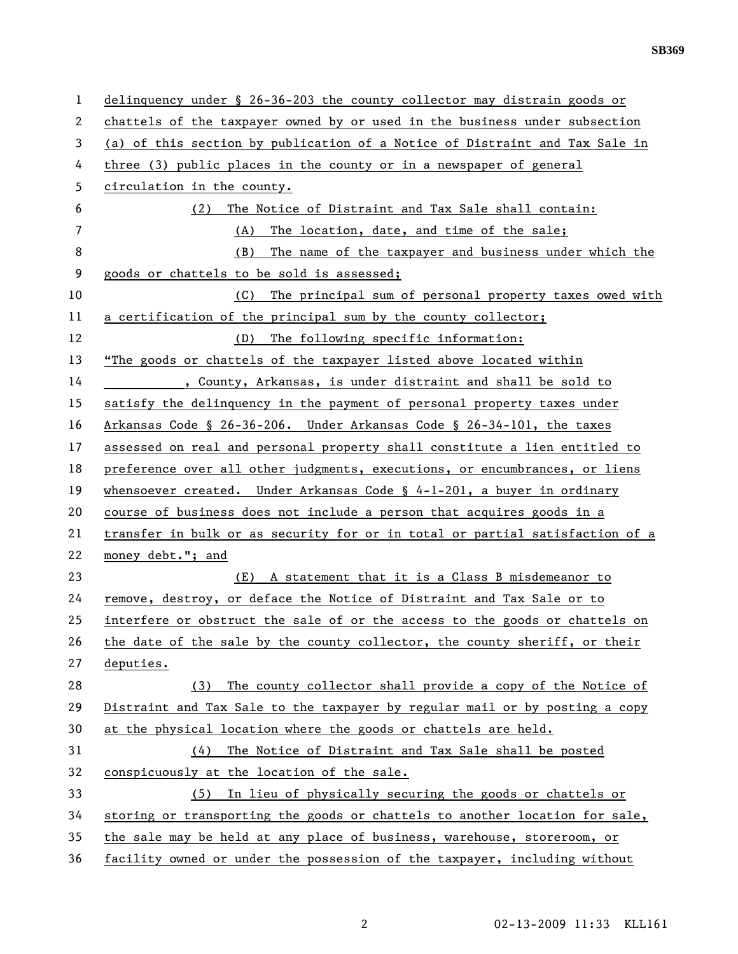| 1  | delinquency under § 26-36-203 the county collector may distrain goods or     |
|----|------------------------------------------------------------------------------|
| 2  | chattels of the taxpayer owned by or used in the business under subsection   |
| 3  | (a) of this section by publication of a Notice of Distraint and Tax Sale in  |
| 4  | three (3) public places in the county or in a newspaper of general           |
| 5  | circulation in the county.                                                   |
| 6  | The Notice of Distraint and Tax Sale shall contain:<br>(2)                   |
| 7  | The location, date, and time of the sale;<br>(A)                             |
| 8  | The name of the taxpayer and business under which the<br>(B)                 |
| 9  | goods or chattels to be sold is assessed;                                    |
| 10 | The principal sum of personal property taxes owed with<br>(C)                |
| 11 | a certification of the principal sum by the county collector;                |
| 12 | The following specific information:<br>(D)                                   |
| 13 | "The goods or chattels of the taxpayer listed above located within           |
| 14 | , County, Arkansas, is under distraint and shall be sold to                  |
| 15 | satisfy the delinquency in the payment of personal property taxes under      |
| 16 | Arkansas Code § 26-36-206. Under Arkansas Code § 26-34-101, the taxes        |
| 17 | assessed on real and personal property shall constitute a lien entitled to   |
| 18 | preference over all other judgments, executions, or encumbrances, or liens   |
| 19 | whensoever created. Under Arkansas Code $\S$ 4-1-201, a buyer in ordinary    |
| 20 | course of business does not include a person that acquires goods in a        |
| 21 | transfer in bulk or as security for or in total or partial satisfaction of a |
| 22 | money debt."; and                                                            |
| 23 | (E) A statement that it is a Class B misdemeanor to                          |
| 24 | remove, destroy, or deface the Notice of Distraint and Tax Sale or to        |
| 25 | interfere or obstruct the sale of or the access to the goods or chattels on  |
| 26 | the date of the sale by the county collector, the county sheriff, or their   |
| 27 | deputies.                                                                    |
| 28 | The county collector shall provide a copy of the Notice of<br>(3)            |
| 29 | Distraint and Tax Sale to the taxpayer by regular mail or by posting a copy  |
| 30 | at the physical location where the goods or chattels are held.               |
| 31 | The Notice of Distraint and Tax Sale shall be posted<br>(4)                  |
| 32 | conspicuously at the location of the sale.                                   |
| 33 | In lieu of physically securing the goods or chattels or<br>(5)               |
| 34 | storing or transporting the goods or chattels to another location for sale,  |
| 35 | the sale may be held at any place of business, warehouse, storeroom, or      |
| 36 | facility owned or under the possession of the taxpayer, including without    |